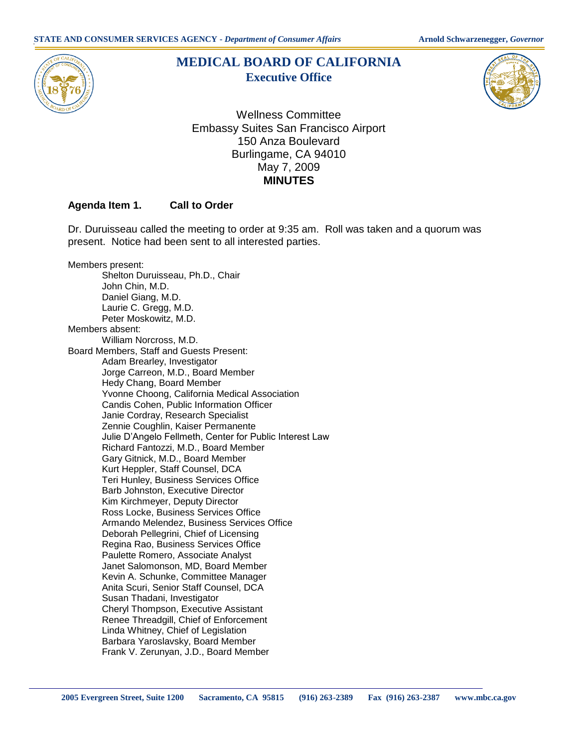

# **MEDICAL BOARD OF CALIFORNIA Executive Office**



Wellness Committee Embassy Suites San Francisco Airport 150 Anza Boulevard Burlingame, CA 94010 May 7, 2009 **MINUTES** 

## **Agenda Item 1. Call to Order**

 Dr. Duruisseau called the meeting to order at 9:35 am. Roll was taken and a quorum was present. Notice had been sent to all interested parties.

 Members present: Shelton Duruisseau, Ph.D., Chair John Chin, M.D. Daniel Giang, M.D. Laurie C. Gregg, M.D. Peter Moskowitz, M.D. Members absent: William Norcross, M.D. Board Members, Staff and Guests Present: Adam Brearley, Investigator Jorge Carreon, M.D., Board Member Hedy Chang, Board Member Yvonne Choong, California Medical Association Candis Cohen, Public Information Officer Janie Cordray, Research Specialist Zennie Coughlin, Kaiser Permanente Julie D'Angelo Fellmeth, Center for Public Interest Law Richard Fantozzi, M.D., Board Member Gary Gitnick, M.D., Board Member Kurt Heppler, Staff Counsel, DCA Teri Hunley, Business Services Office Barb Johnston, Executive Director Kim Kirchmeyer, Deputy Director Ross Locke, Business Services Office Armando Melendez, Business Services Office Deborah Pellegrini, Chief of Licensing Regina Rao, Business Services Office Paulette Romero, Associate Analyst Janet Salomonson, MD, Board Member Kevin A. Schunke, Committee Manager Anita Scuri, Senior Staff Counsel, DCA Susan Thadani, Investigator Cheryl Thompson, Executive Assistant Renee Threadgill, Chief of Enforcement Linda Whitney, Chief of Legislation Barbara Yaroslavsky, Board Member Frank V. Zerunyan, J.D., Board Member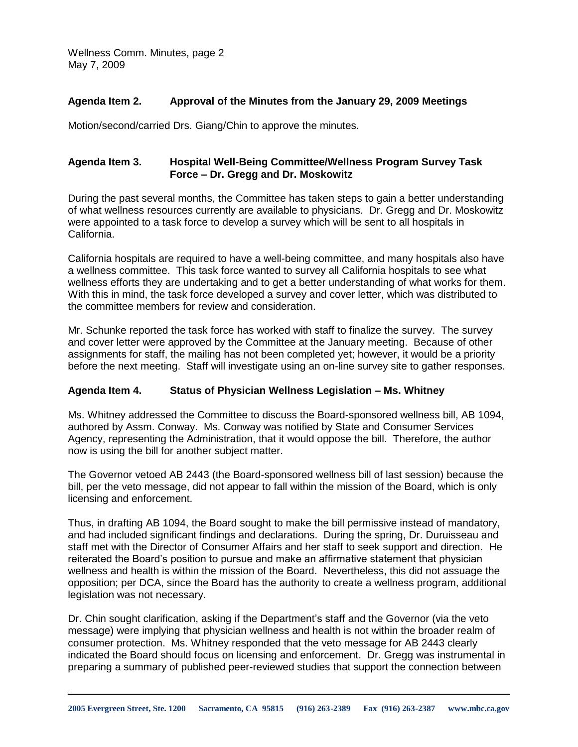Wellness Comm. Minutes, page 2 May 7, 2009

### **Agenda Item 2. Approval of the Minutes from the January 29, 2009 Meetings**

Motion/second/carried Drs. Giang/Chin to approve the minutes.

# **Agenda Item 3. Hospital Well-Being Committee/Wellness Program Survey Task Force – Dr. Gregg and Dr. Moskowitz**

 During the past several months, the Committee has taken steps to gain a better understanding of what wellness resources currently are available to physicians. Dr. Gregg and Dr. Moskowitz were appointed to a task force to develop a survey which will be sent to all hospitals in California.

 California hospitals are required to have a well-being committee, and many hospitals also have a wellness committee. This task force wanted to survey all California hospitals to see what wellness efforts they are undertaking and to get a better understanding of what works for them. With this in mind, the task force developed a survey and cover letter, which was distributed to the committee members for review and consideration.

 Mr. Schunke reported the task force has worked with staff to finalize the survey. The survey and cover letter were approved by the Committee at the January meeting. Because of other assignments for staff, the mailing has not been completed yet; however, it would be a priority before the next meeting. Staff will investigate using an on-line survey site to gather responses.

#### **Agenda Item 4. Status of Physician Wellness Legislation – Ms. Whitney**

 Ms. Whitney addressed the Committee to discuss the Board-sponsored wellness bill, AB 1094, authored by Assm. Conway. Ms. Conway was notified by State and Consumer Services Agency, representing the Administration, that it would oppose the bill. Therefore, the author now is using the bill for another subject matter.

 The Governor vetoed AB 2443 (the Board-sponsored wellness bill of last session) because the bill, per the veto message, did not appear to fall within the mission of the Board, which is only licensing and enforcement.

 Thus, in drafting AB 1094, the Board sought to make the bill permissive instead of mandatory, and had included significant findings and declarations. During the spring, Dr. Duruisseau and staff met with the Director of Consumer Affairs and her staff to seek support and direction. He reiterated the Board's position to pursue and make an affirmative statement that physician wellness and health is within the mission of the Board. Nevertheless, this did not assuage the opposition; per DCA, since the Board has the authority to create a wellness program, additional legislation was not necessary.

 Dr. Chin sought clarification, asking if the Department's staff and the Governor (via the veto message) were implying that physician wellness and health is not within the broader realm of consumer protection. Ms. Whitney responded that the veto message for AB 2443 clearly indicated the Board should focus on licensing and enforcement. Dr. Gregg was instrumental in preparing a summary of published peer-reviewed studies that support the connection between